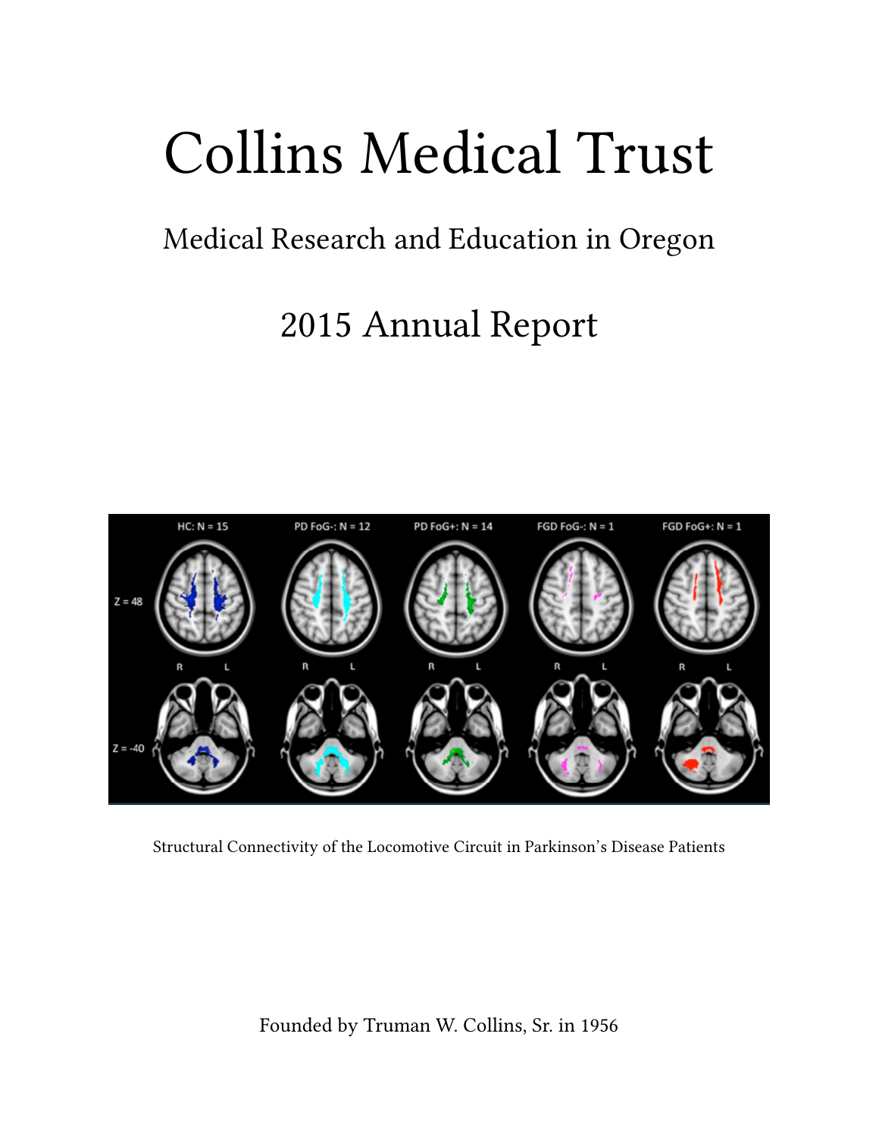# Collins Medical Trust

## Medical Research and Education in Oregon

## 2015 Annual Report



Structural Connectivity of the Locomotive Circuit in Parkinson's Disease Patients

Founded by Truman W. Collins, Sr. in 1956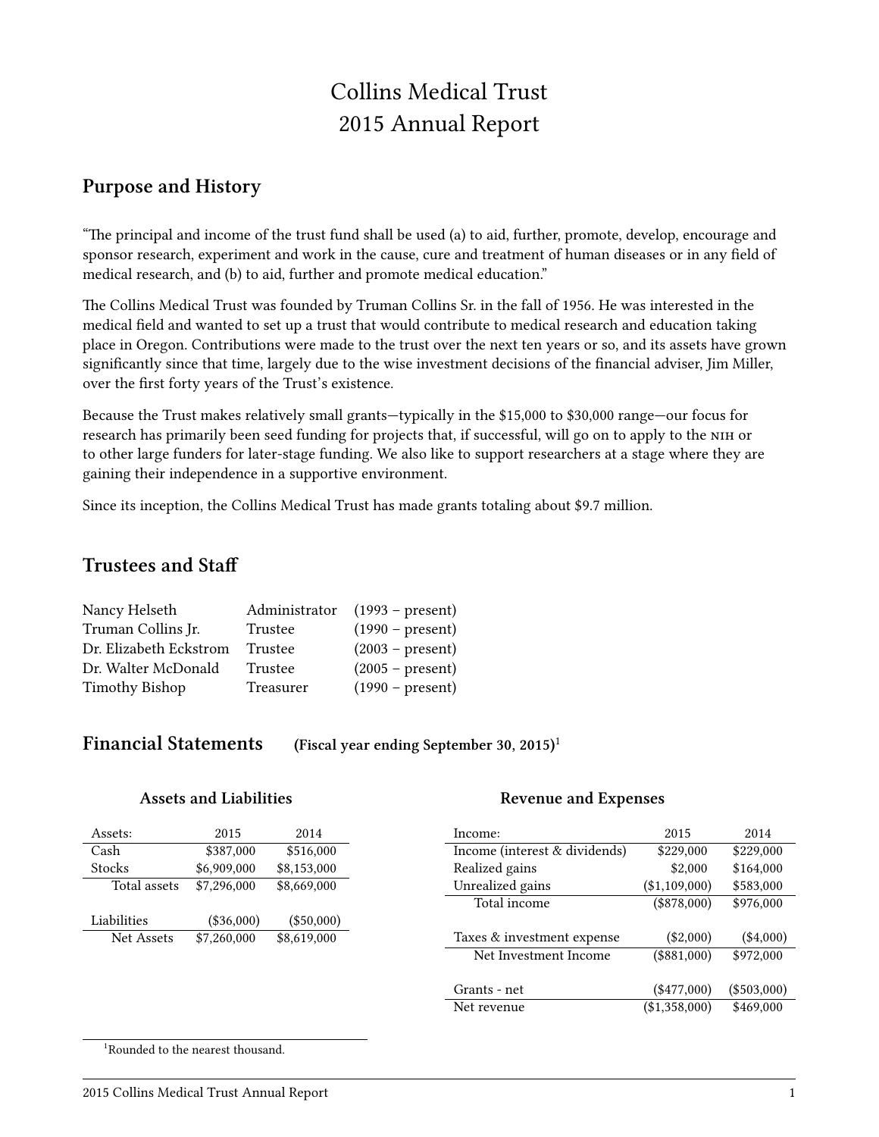### Collins Medical Trust 2015 Annual Report

#### **Purpose and History**

"The principal and income of the trust fund shall be used (a) to aid, further, promote, develop, encourage and sponsor research, experiment and work in the cause, cure and treatment of human diseases or in any field of medical research, and (b) to aid, further and promote medical education."

The Collins Medical Trust was founded by Truman Collins Sr. in the fall of 1956. He was interested in the medical field and wanted to set up a trust that would contribute to medical research and education taking place in Oregon. Contributions were made to the trust over the next ten years or so, and its assets have grown significantly since that time, largely due to the wise investment decisions of the financial adviser, Jim Miller, over the first forty years of the Trust's existence.

Because the Trust makes relatively small grants—typically in the \$15,000 to \$30,000 range—our focus for research has primarily been seed funding for projects that, if successful, will go on to apply to the NIH or to other large funders for later-stage funding. We also like to support researchers at a stage where they are gaining their independence in a supportive environment.

Since its inception, the Collins Medical Trust has made grants totaling about \$9.7 million.

#### **Trustees and Staff**

| Nancy Helseth          | Administrator | $(1993 - present)$ |
|------------------------|---------------|--------------------|
| Truman Collins Jr.     | Trustee       | $(1990 - present)$ |
| Dr. Elizabeth Eckstrom | Trustee       | $(2003 - present)$ |
| Dr. Walter McDonald    | Trustee       | $(2005 - present)$ |
| Timothy Bishop         | Treasurer     | $(1990 - present)$ |

#### **Financial Statements (Fiscal year ending September 30, 2015)**<sup>1</sup>

#### **Assets and Liabilities**

| Assets:           | 2015        | 2014        |
|-------------------|-------------|-------------|
| Cash              | \$387,000   | \$516,000   |
| <b>Stocks</b>     | \$6,909,000 | \$8,153,000 |
| Total assets      | \$7,296,000 | \$8,669,000 |
| Liabilities       | (\$36,000)  | (\$50,000)  |
| <b>Net Assets</b> | \$7,260,000 | \$8,619,000 |

#### **Revenue and Expenses**

| Income:                       | 2015          | 2014          |
|-------------------------------|---------------|---------------|
| Income (interest & dividends) | \$229,000     | \$229,000     |
| Realized gains                | \$2,000       | \$164,000     |
| Unrealized gains              | (\$1,109,000) | \$583,000     |
| Total income                  | $(\$878,000)$ | \$976,000     |
|                               |               |               |
| Taxes & investment expense    | $(\$2,000)$   | $(\$4,000)$   |
| Net Investment Income         | $(\$881,000)$ | \$972,000     |
|                               |               |               |
| Grants - net                  | $(*477,000)$  | $(\$503,000)$ |
| Net revenue                   | (\$1,358,000) | \$469,000     |

<sup>1</sup>Rounded to the nearest thousand.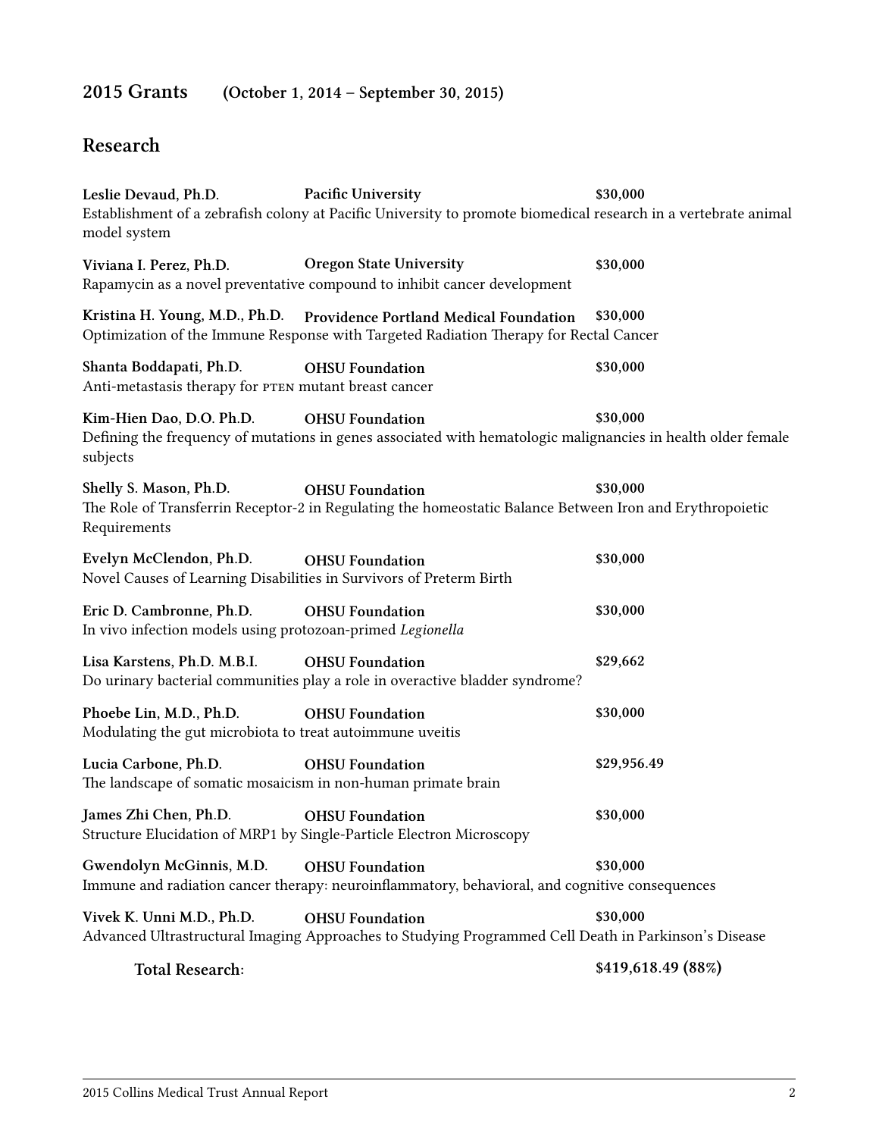### **2015 Grants (October 1, 2014 – September 30, 2015)**

#### **Resear**

| Leslie Devaud, Ph.D.<br>model system                                                           | <b>Pacific University</b><br>Establishment of a zebrafish colony at Pacific University to promote biomedical research in a vertebrate animal                   | \$30,000           |
|------------------------------------------------------------------------------------------------|----------------------------------------------------------------------------------------------------------------------------------------------------------------|--------------------|
| Viviana I. Perez, Ph.D.                                                                        | <b>Oregon State University</b><br>Rapamycin as a novel preventative compound to inhibit cancer development                                                     | \$30,000           |
|                                                                                                | Kristina H. Young, M.D., Ph.D. Providence Portland Medical Foundation<br>Optimization of the Immune Response with Targeted Radiation Therapy for Rectal Cancer | \$30,000           |
| Shanta Boddapati, Ph.D.<br>Anti-metastasis therapy for PTEN mutant breast cancer               | <b>OHSU</b> Foundation                                                                                                                                         | \$30,000           |
| Kim-Hien Dao, D.O. Ph.D.<br>subjects                                                           | <b>OHSU</b> Foundation<br>Defining the frequency of mutations in genes associated with hematologic malignancies in health older female                         | \$30,000           |
| Shelly S. Mason, Ph.D.<br>Requirements                                                         | <b>OHSU</b> Foundation<br>The Role of Transferrin Receptor-2 in Regulating the homeostatic Balance Between Iron and Erythropoietic                             | \$30,000           |
| Evelyn McClendon, Ph.D.<br>Novel Causes of Learning Disabilities in Survivors of Preterm Birth | <b>OHSU</b> Foundation                                                                                                                                         | \$30,000           |
| Eric D. Cambronne, Ph.D.<br>In vivo infection models using protozoan-primed Legionella         | <b>OHSU</b> Foundation                                                                                                                                         | \$30,000           |
| Lisa Karstens, Ph.D. M.B.I.                                                                    | <b>OHSU Foundation</b><br>Do urinary bacterial communities play a role in overactive bladder syndrome?                                                         | \$29,662           |
| Phoebe Lin, M.D., Ph.D.<br>Modulating the gut microbiota to treat autoimmune uveitis           | <b>OHSU</b> Foundation                                                                                                                                         | \$30,000           |
| Lucia Carbone, Ph.D.<br>The landscape of somatic mosaicism in non-human primate brain          | <b>OHSU Foundation</b>                                                                                                                                         | \$29,956.49        |
| James Zhi Chen, Ph.D.                                                                          | <b>OHSU</b> Foundation<br>Structure Elucidation of MRP1 by Single-Particle Electron Microscopy                                                                 | \$30,000           |
| Gwendolyn McGinnis, M.D.                                                                       | <b>OHSU</b> Foundation<br>Immune and radiation cancer therapy: neuroinflammatory, behavioral, and cognitive consequences                                       | \$30,000           |
| Vivek K. Unni M.D., Ph.D.                                                                      | <b>OHSU</b> Foundation<br>Advanced Ultrastructural Imaging Approaches to Studying Programmed Cell Death in Parkinson's Disease                                 | \$30,000           |
| <b>Total Research:</b>                                                                         |                                                                                                                                                                | \$419,618.49 (88%) |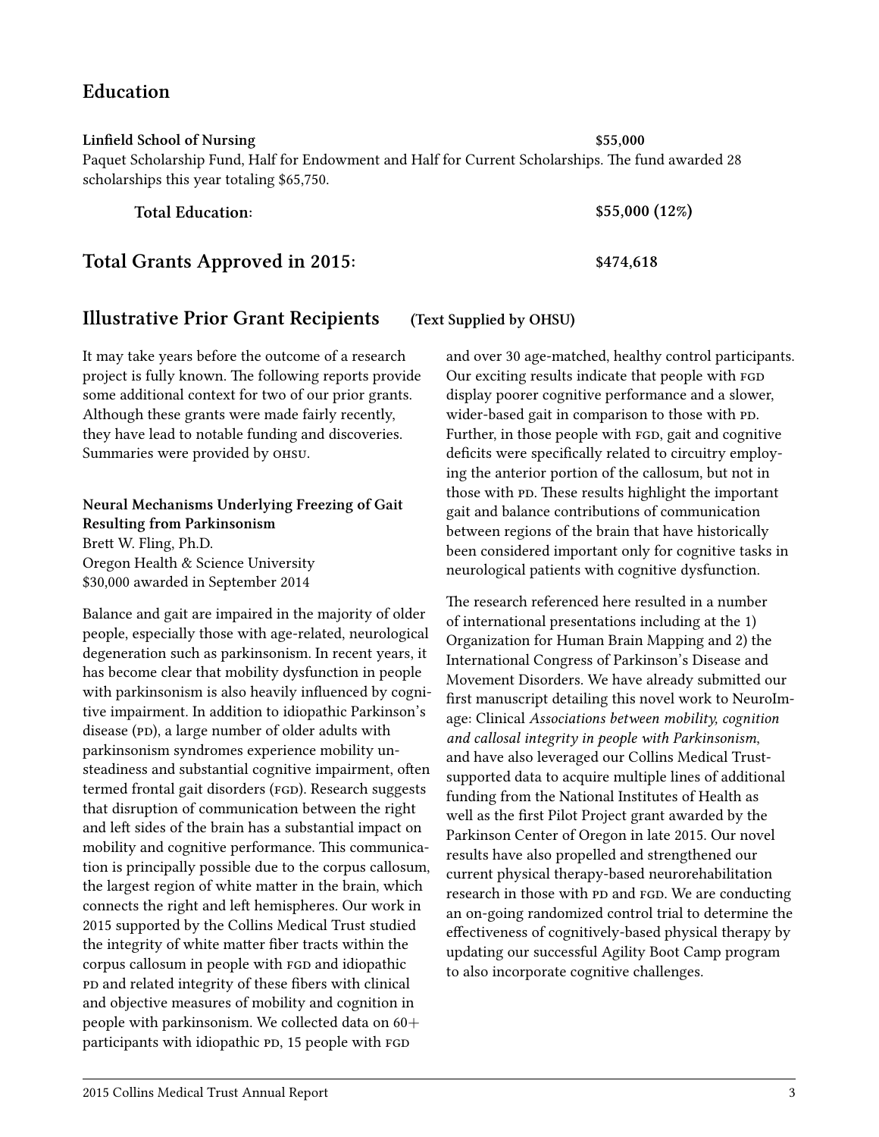2015 Collins Medical Trust Annual Report 3

#### **Education**

#### **Linfield Sool of Nursing \$55,000**

Paquet Scholarship Fund, Half for Endowment and Half for Current Scholarships. The fund awarded 28 scholarships this year totaling \$65,750.

**Total Grants Approved in 2015: \$474,618**

#### **Illustrative Prior Grant Recipients (Text Supplied by OHSU)**

It may take years before the outcome of a research project is fully known. The following reports provide some additional context for two of our prior grants. Although these grants were made fairly recently, they have lead to notable funding and discoveries. Summaries were provided by OHSU.

#### **Neural Meanisms Underlying Freezing of Gait Resulting from Parkinsonism** Brett W. Fling, Ph.D. Oregon Health & Science University

\$30,000 awarded in September 2014

Balance and gait are impaired in the majority of older people, especially those with age-related, neurological degeneration such as parkinsonism. In recent years, it has become clear that mobility dysfunction in people with parkinsonism is also heavily influenced by cognitive impairment. In addition to idiopathic Parkinson's disease (PD), a large number of older adults with parkinsonism syndromes experience mobility unsteadiness and substantial cognitive impairment, often termed frontal gait disorders (FGD). Research suggests that disruption of communication between the right and left sides of the brain has a substantial impact on mobility and cognitive performance. This communication is principally possible due to the corpus callosum, the largest region of white matter in the brain, which connects the right and left hemispheres. Our work in 2015 supported by the Collins Medical Trust studied the integrity of white matter fiber tracts within the corpus callosum in people with FGD and idiopathic and related integrity of these fibers with clinical and objective measures of mobility and cognition in people with parkinsonism. We collected data on 60+ participants with idiopathic PD, 15 people with FGD

and over 30 age-matched, healthy control participants. Our exciting results indicate that people with display poorer cognitive performance and a slower, wider-based gait in comparison to those with PD. Further, in those people with FGD, gait and cognitive deficits were specifically related to circuitry employing the anterior portion of the callosum, but not in those with PD. These results highlight the important gait and balance contributions of communication between regions of the brain that have historically been considered important only for cognitive tasks in neurological patients with cognitive dysfunction.

The research referenced here resulted in a number of international presentations including at the 1) Organization for Human Brain Mapping and 2) the International Congress of Parkinson's Disease and Movement Disorders. We have already submitted our first manuscript detailing this novel work to NeuroImage: Clinical *Associations between mobility, cognition and callosal integrity in people with Parkinsonism*, and have also leveraged our Collins Medical Trustsupported data to acquire multiple lines of additional funding from the National Institutes of Health as well as the first Pilot Project grant awarded by the Parkinson Center of Oregon in late 2015. Our novel results have also propelled and strengthened our current physical therapy-based neurorehabilitation research in those with PD and FGD. We are conducting an on-going randomized control trial to determine the effectiveness of cognitively-based physical therapy by updating our successful Agility Boot Camp program to also incorporate cognitive challenges.

**Total Education: \$55,000 (12%)**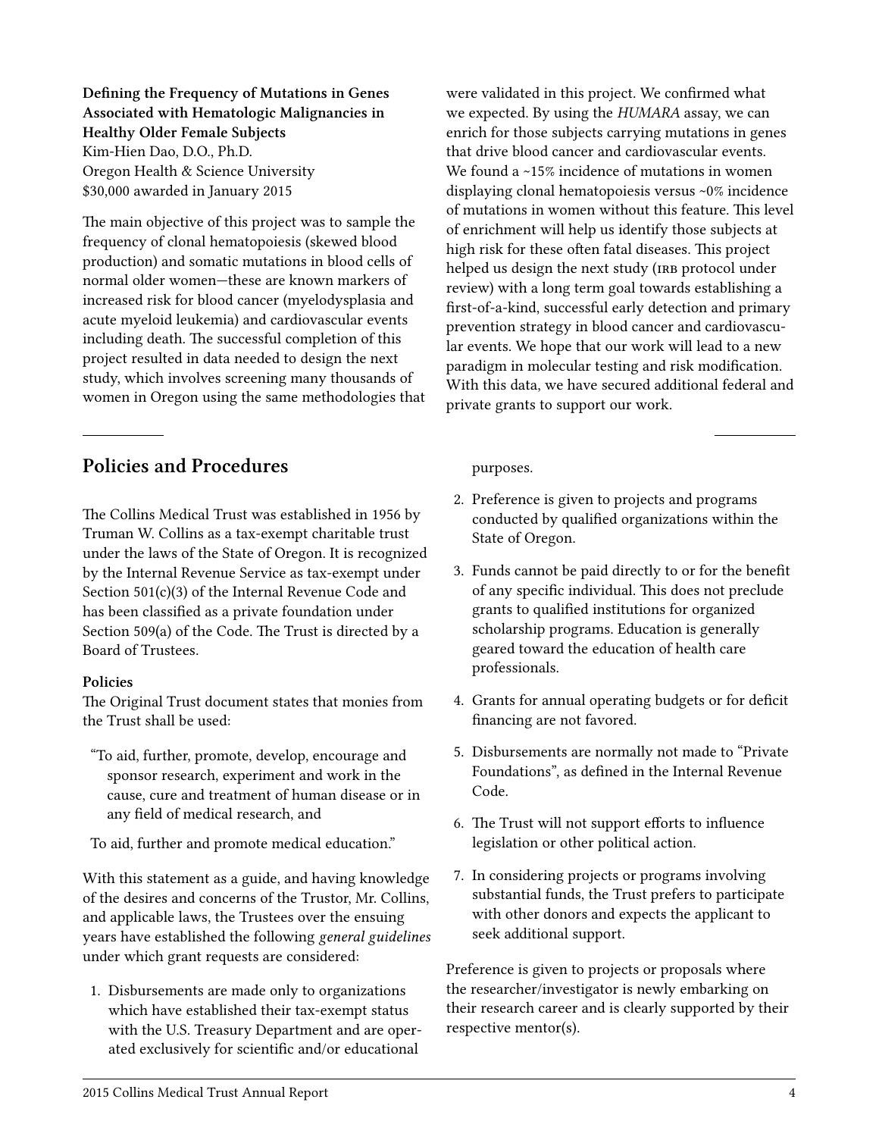**Defining the Frequency of Mutations in Genes Associated with Hematologic Malignancies in Healthy Older Female Subjects** Kim-Hien Dao, D.O., Ph.D. Oregon Health & Science University \$30,000 awarded in January 2015

The main objective of this project was to sample the frequency of clonal hematopoiesis (skewed blood production) and somatic mutations in blood cells of normal older women—these are known markers of increased risk for blood cancer (myelodysplasia and acute myeloid leukemia) and cardiovascular events including death. The successful completion of this project resulted in data needed to design the next study, which involves screening many thousands of women in Oregon using the same methodologies that

#### **Policies and Procedures**

The Collins Medical Trust was established in 1956 by Truman W. Collins as a tax-exempt charitable trust under the laws of the State of Oregon. It is recognized by the Internal Revenue Service as tax-exempt under Section 501(c)(3) of the Internal Revenue Code and has been classified as a private foundation under Section 509(a) of the Code. The Trust is directed by a Board of Trustees.

#### **Policies**

The Original Trust document states that monies from the Trust shall be used:

"To aid, further, promote, develop, encourage and sponsor research, experiment and work in the cause, cure and treatment of human disease or in any field of medical research, and

To aid, further and promote medical education."

With this statement as a guide, and having knowledge of the desires and concerns of the Trustor, Mr. Collins, and applicable laws, the Trustees over the ensuing years have established the following *general guidelines* under which grant requests are considered:

1. Disbursements are made only to organizations which have established their tax-exempt status with the U.S. Treasury Department and are operated exclusively for scientific and/or educational

were validated in this project. We confirmed what we expected. By using the *HUMARA* assay, we can enrich for those subjects carrying mutations in genes that drive blood cancer and cardiovascular events. We found a ~15% incidence of mutations in women displaying clonal hematopoiesis versus ~0% incidence of mutations in women without this feature. This level of enrichment will help us identify those subjects at high risk for these often fatal diseases. This project helped us design the next study (IRB protocol under review) with a long term goal towards establishing a first-of-a-kind, successful early detection and primary prevention strategy in blood cancer and cardiovascular events. We hope that our work will lead to a new paradigm in molecular testing and risk modification. With this data, we have secured additional federal and private grants to support our work.

#### purposes.

- 2. Preference is given to projects and programs conducted by qualified organizations within the State of Oregon.
- 3. Funds cannot be paid directly to or for the benefit of any specific individual. This does not preclude grants to qualified institutions for organized scholarship programs. Education is generally geared toward the education of health care professionals.
- 4. Grants for annual operating budgets or for deficit financing are not favored.
- 5. Disbursements are normally not made to "Private Foundations", as defined in the Internal Revenue Code.
- 6. The Trust will not support efforts to influence legislation or other political action.
- 7. In considering projects or programs involving substantial funds, the Trust prefers to participate with other donors and expects the applicant to seek additional support.

Preference is given to projects or proposals where the researcher/investigator is newly embarking on their research career and is clearly supported by their respective mentor(s).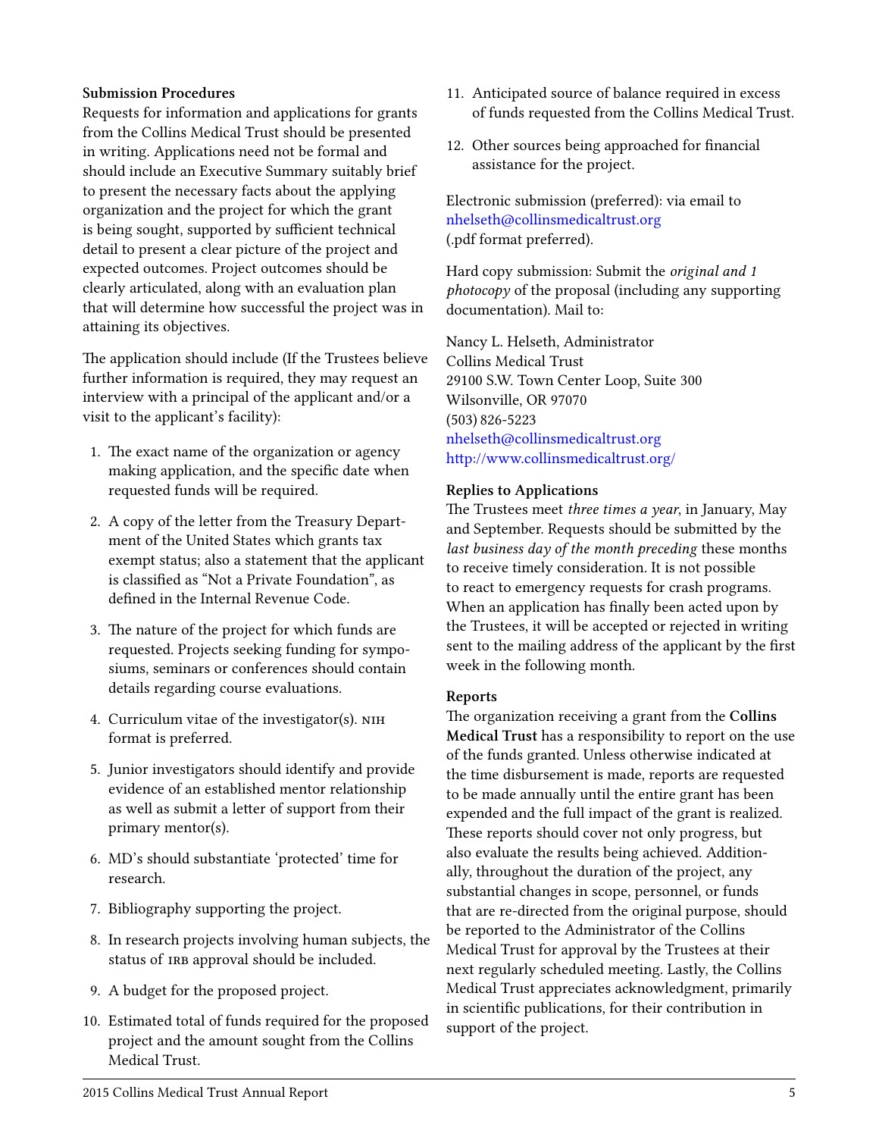#### **Submission Procedures**

Requests for information and applications for grants from the Collins Medical Trust should be presented in writing. Applications need not be formal and should include an Executive Summary suitably brief to present the necessary facts about the applying organization and the project for which the grant is being sought, supported by sufficient technical detail to present a clear picture of the project and expected outcomes. Project outcomes should be clearly articulated, along with an evaluation plan that will determine how successful the project was in attaining its objectives.

The application should include (If the Trustees believe further information is required, they may request an interview with a principal of the applicant and/or a visit to the applicant's facility):

- 1. The exact name of the organization or agency making application, and the specific date when requested funds will be required.
- 2. A copy of the letter from the Treasury Department of the United States which grants tax exempt status; also a statement that the applicant is classified as "Not a Private Foundation", as defined in the Internal Revenue Code.
- 3. The nature of the project for which funds are requested. Projects seeking funding for symposiums, seminars or conferences should contain details regarding course evaluations.
- 4. Curriculum vitae of the investigator(s). format is preferred.
- 5. Junior investigators should identify and provide evidence of an established mentor relationship as well as submit a letter of support from their primary mentor(s).
- 6. MD's should substantiate 'protected' time for research.
- 7. Bibliography supporting the project.
- 8. In research projects involving human subjects, the status of IRB approval should be included.
- 9. A budget for the proposed project.
- 10. Estimated total of funds required for the proposed project and the amount sought from the Collins Medical Trust.
- 11. Anticipated source of balance required in excess of funds requested from the Collins Medical Trust.
- 12. Other sources being approached for financial assistance for the project.

Electronic submission (preferred): via email to [nhelseth@collinsmedicaltrust.org](mailto:nhelseth@collinsmedicaltrust.org) (.pdf format preferred).

Hard copy submission: Submit the *original and 1 photocopy* of the proposal (including any supporting documentation). Mail to:

Nancy L. Helseth, Administrator Collins Medical Trust 29100 S.W. Town Center Loop, Suite 300 Wilsonville, OR 97070 (503) 826-5223 [nhelseth@collinsmedicaltrust.org](mailto:nhelseth@collinsmedicaltrust.org) [hp://www.collinsmedicaltrust.org/](http://www.collinsmedicaltrust.org/)

#### **Replies to Applications**

The Trustees meet *three times a year*, in January, May and September. Requests should be submitted by the *last business day of the month preceding* these months to receive timely consideration. It is not possible to react to emergency requests for crash programs. When an application has finally been acted upon by the Trustees, it will be accepted or rejected in writing sent to the mailing address of the applicant by the first week in the following month.

#### **Reports**

The organization receiving a grant from the **Collins Medical Trust** has a responsibility to report on the use of the funds granted. Unless otherwise indicated at the time disbursement is made, reports are requested to be made annually until the entire grant has been expended and the full impact of the grant is realized. These reports should cover not only progress, but also evaluate the results being achieved. Additionally, throughout the duration of the project, any substantial changes in scope, personnel, or funds that are re-directed from the original purpose, should be reported to the Administrator of the Collins Medical Trust for approval by the Trustees at their next regularly scheduled meeting. Lastly, the Collins Medical Trust appreciates acknowledgment, primarily in scientific publications, for their contribution in support of the project.